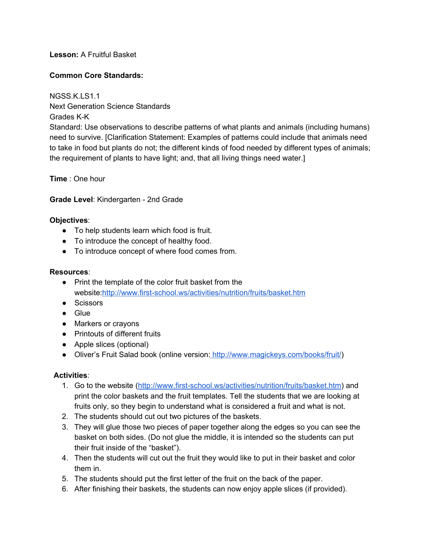# **Lesson:**A Fruitful Basket

## **Common Core Standards:**

NGSS.K.LS1.1 Next Generation Science Standards Grades K-K Standard: Use observations to describe patterns of what plants and animals (including humans) need to survive. [Clarification Statement: Examples of patterns could include that animals need to take in food but plants do not; the different kinds of food needed by different types of animals; the requirement of plants to have light; and, that all living things need water.]

**Time**: One hour

#### **Grade Level**: Kindergarten 2nd Grade

#### **Objectives**:

- To help students learn which food is fruit.
- To introduce the concept of healthy food.
- To introduce concept of where food comes from.

### **Resources**:

- Print the template of the color fruit basket from the website:http://www.first-school.ws/activities/nutrition/fruits/basket.htm
- Scissors
- Glue
- Markers or crayons
- Printouts of different fruits
- Apple slices (optional)
- Oliver's Fruit Salad book (online version: [http://www.magickeys.com/books/fruit/\)](http://www.magickeys.com/books/fruit/)

# **Activities**:

- 1. Go to the website (http://www.first-school.ws/activities/nutrition/fruits/basket.htm) and print the color baskets and the fruit templates. Tell the students that we are looking at fruits only, so they begin to understand what is considered a fruit and what is not.
- 2. The students should cut out two pictures of the baskets.
- 3. They will glue those two pieces of paper together along the edges so you can see the basket on both sides. (Do not glue the middle, it is intended so the students can put their fruit inside of the "basket").
- 4. Then the students will cut out the fruit they would like to put in their basket and color them in.
- 5. The students should put the first letter of the fruit on the back of the paper.
- 6. After finishing their baskets, the students can now enjoy apple slices (if provided).